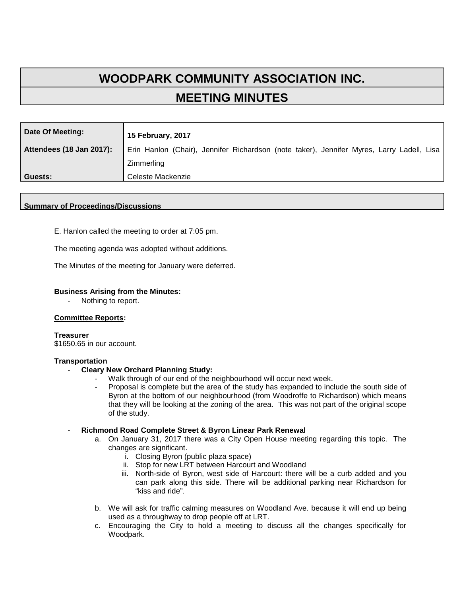# **WOODPARK COMMUNITY ASSOCIATION INC. MEETING MINUTES**

| Date Of Meeting:         | <b>15 February, 2017</b>                                                                  |
|--------------------------|-------------------------------------------------------------------------------------------|
| Attendees (18 Jan 2017): | Erin Hanlon (Chair), Jennifer Richardson (note taker), Jennifer Myres, Larry Ladell, Lisa |
|                          | Zimmerling                                                                                |
| Guests:                  | Celeste Mackenzie                                                                         |

#### **Summary of Proceedings/Discussions**

E. Hanlon called the meeting to order at 7:05 pm.

The meeting agenda was adopted without additions.

The Minutes of the meeting for January were deferred.

#### **Business Arising from the Minutes:**

Nothing to report.

#### **Committee Reports:**

**Treasurer**  \$1650.65 in our account.

#### **Transportation**

- **Cleary New Orchard Planning Study:**
	- Walk through of our end of the neighbourhood will occur next week.
	- Proposal is complete but the area of the study has expanded to include the south side of Byron at the bottom of our neighbourhood (from Woodroffe to Richardson) which means that they will be looking at the zoning of the area. This was not part of the original scope of the study.

# - **Richmond Road Complete Street & Byron Linear Park Renewal**

- a. On January 31, 2017 there was a City Open House meeting regarding this topic. The changes are significant.
	- i. Closing Byron (public plaza space)
	- ii. Stop for new LRT between Harcourt and Woodland
	- iii. North-side of Byron, west side of Harcourt: there will be a curb added and you can park along this side. There will be additional parking near Richardson for "kiss and ride".
- b. We will ask for traffic calming measures on Woodland Ave. because it will end up being used as a throughway to drop people off at LRT.
- c. Encouraging the City to hold a meeting to discuss all the changes specifically for Woodpark.